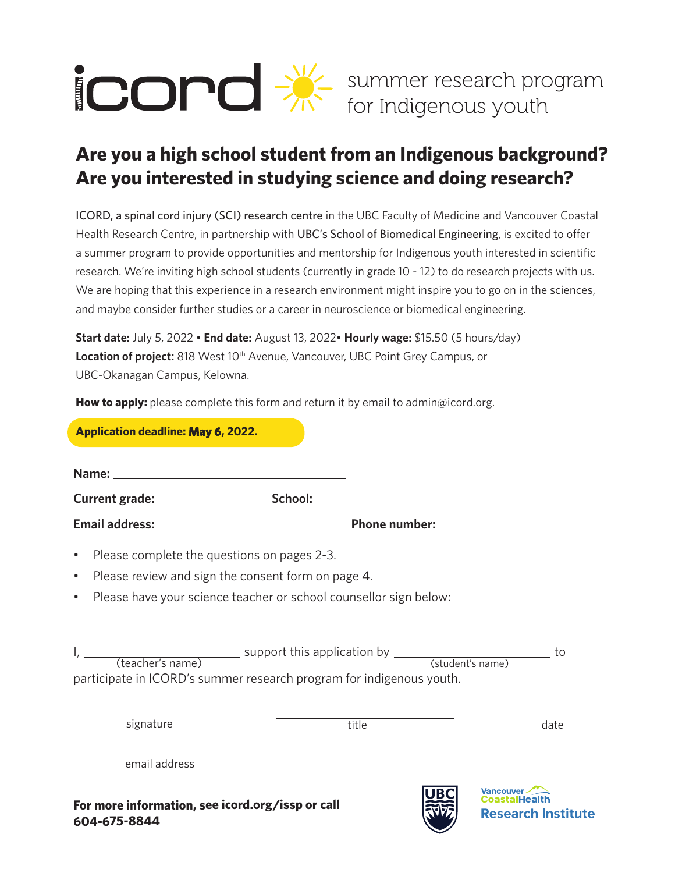

## **Are you a high school student from an Indigenous background? Are you interested in studying science and doing research?**

ICORD, a spinal cord injury (SCI) research centre in the UBC Faculty of Medicine and Vancouver Coastal Health Research Centre, in partnership with UBC's School of Biomedical Engineering, is excited to offer a summer program to provide opportunities and mentorship for Indigenous youth interested in scientific research. We're inviting high school students (currently in grade 10 - 12) to do research projects with us. We are hoping that this experience in a research environment might inspire you to go on in the sciences, and maybe consider further studies or a career in neuroscience or biomedical engineering.

**Start date:** July 5, 2022 • **End date:** August 13, 2022• **Hourly wage:** \$15.50 (5 hours/day) Location of project: 818 West 10<sup>th</sup> Avenue, Vancouver, UBC Point Grey Campus, or UBC-Okanagan Campus, Kelowna.

How to apply: please complete this form and return it by email to admin@icord.org.

| <b>Application deadline: May 6, 2022.</b>                                                                                                                              |       |                                        |
|------------------------------------------------------------------------------------------------------------------------------------------------------------------------|-------|----------------------------------------|
|                                                                                                                                                                        |       |                                        |
|                                                                                                                                                                        |       |                                        |
|                                                                                                                                                                        |       |                                        |
| Please complete the questions on pages 2-3.<br>۰                                                                                                                       |       |                                        |
| Please review and sign the consent form on page 4.<br>$\bullet$                                                                                                        |       |                                        |
| Please have your science teacher or school counsellor sign below:<br>۰                                                                                                 |       |                                        |
| $I,$ $\frac{I}{I}$ (teacher's name) support this application by $\frac{I}{I}$ (student's name)<br>participate in ICORD's summer research program for indigenous youth. |       | to                                     |
| signature                                                                                                                                                              | title | date                                   |
| email address                                                                                                                                                          |       |                                        |
| For more information, see icord.org/issp or call<br>604-675-8844                                                                                                       |       | Vancouver<br><b>Research Institute</b> |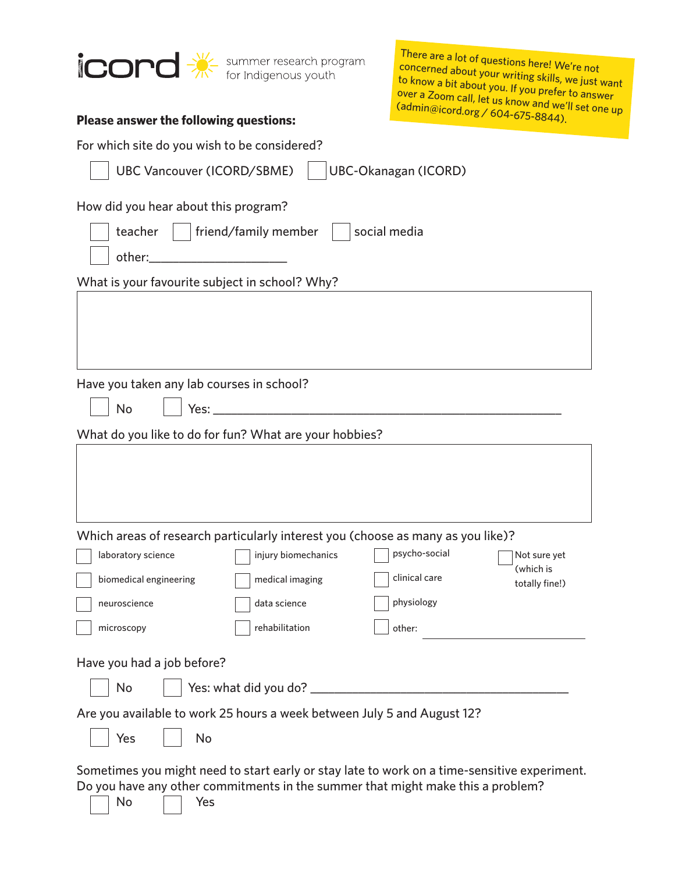

There are a lot of questions here! We're not concerned about your writing skills, we just want to know a bit about you. If you prefer to answer over a Zoom call, let us know and we'll set one up (admin@icord.org / 604-675-8844).

| <b>Please answer the following questions:</b>                                                                                                                                                                                        | <u>514.01g / 604-675-8844).</u>              |  |  |  |
|--------------------------------------------------------------------------------------------------------------------------------------------------------------------------------------------------------------------------------------|----------------------------------------------|--|--|--|
| For which site do you wish to be considered?                                                                                                                                                                                         |                                              |  |  |  |
| <b>UBC-Okanagan (ICORD)</b><br><b>UBC Vancouver (ICORD/SBME)</b>                                                                                                                                                                     |                                              |  |  |  |
| How did you hear about this program?                                                                                                                                                                                                 |                                              |  |  |  |
| friend/family member<br>teacher<br>social media                                                                                                                                                                                      |                                              |  |  |  |
| other:_                                                                                                                                                                                                                              |                                              |  |  |  |
| What is your favourite subject in school? Why?                                                                                                                                                                                       |                                              |  |  |  |
|                                                                                                                                                                                                                                      |                                              |  |  |  |
| Have you taken any lab courses in school?                                                                                                                                                                                            |                                              |  |  |  |
| No<br>Yes: a controller than the controller of the controller than the controller of the controller than the controller of the controller than the controller of the controller of the controller of the controller of the controlle |                                              |  |  |  |
| What do you like to do for fun? What are your hobbies?                                                                                                                                                                               |                                              |  |  |  |
|                                                                                                                                                                                                                                      |                                              |  |  |  |
| Which areas of research particularly interest you (choose as many as you like)?                                                                                                                                                      |                                              |  |  |  |
| injury biomechanics<br>laboratory science                                                                                                                                                                                            | psycho-social<br>Not sure yet                |  |  |  |
| biomedical engineering<br>medical imaging                                                                                                                                                                                            | (which is<br>clinical care<br>totally fine!) |  |  |  |
| data science<br>neuroscience                                                                                                                                                                                                         | physiology                                   |  |  |  |
| rehabilitation<br>microscopy                                                                                                                                                                                                         | other:                                       |  |  |  |
| Have you had a job before?                                                                                                                                                                                                           |                                              |  |  |  |
| No                                                                                                                                                                                                                                   |                                              |  |  |  |
| Are you available to work 25 hours a week between July 5 and August 12?                                                                                                                                                              |                                              |  |  |  |
| Yes<br>No                                                                                                                                                                                                                            |                                              |  |  |  |
| Sometimes you might need to start early or stay late to work on a time-sensitive experiment.<br>Do you have any other commitments in the summer that might make this a problem?                                                      |                                              |  |  |  |

No <u>Nes</u>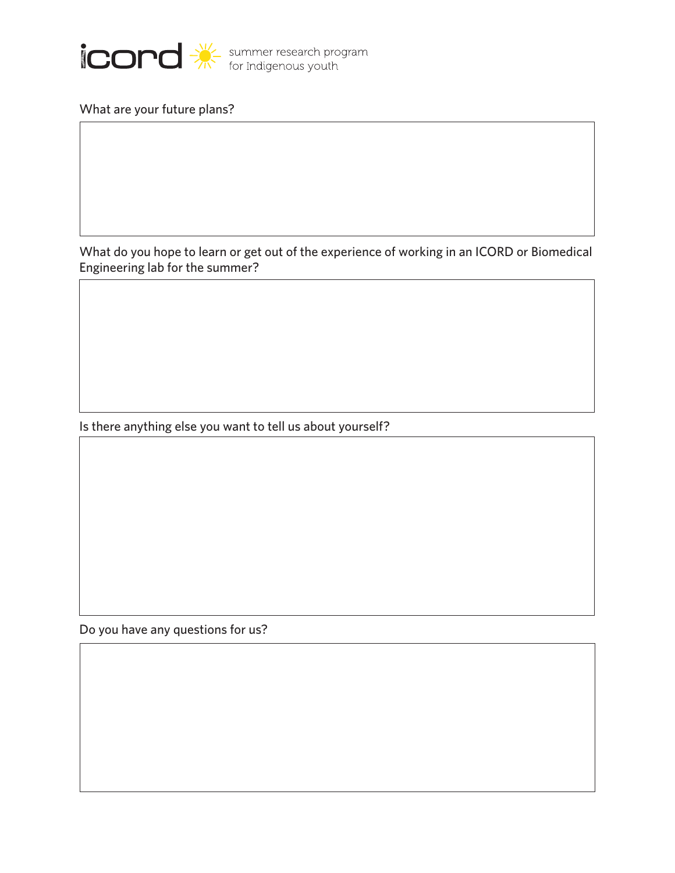

What are your future plans?

What do you hope to learn or get out of the experience of working in an ICORD or Biomedical Engineering lab for the summer?

Is there anything else you want to tell us about yourself?

Do you have any questions for us?